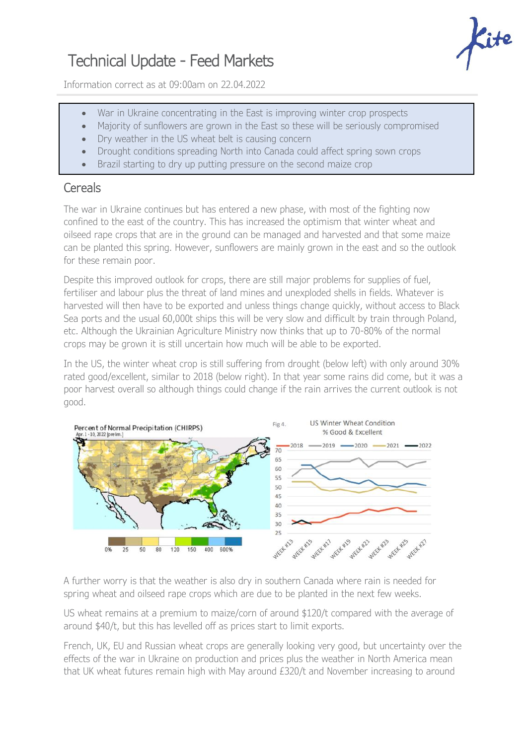## Technical Update - Feed Markets

Information correct as at 09:00am on 22.04.2022

- War in Ukraine concentrating in the East is improving winter crop prospects
- Majority of sunflowers are grown in the East so these will be seriously compromised
- Dry weather in the US wheat belt is causing concern
- Drought conditions spreading North into Canada could affect spring sown crops
- Brazil starting to dry up putting pressure on the second maize crop

## **Cereals**

The war in Ukraine continues but has entered a new phase, with most of the fighting now confined to the east of the country. This has increased the optimism that winter wheat and oilseed rape crops that are in the ground can be managed and harvested and that some maize can be planted this spring. However, sunflowers are mainly grown in the east and so the outlook for these remain poor.

Despite this improved outlook for crops, there are still major problems for supplies of fuel, fertiliser and labour plus the threat of land mines and unexploded shells in fields. Whatever is harvested will then have to be exported and unless things change quickly, without access to Black Sea ports and the usual 60,000t ships this will be very slow and difficult by train through Poland, etc. Although the Ukrainian Agriculture Ministry now thinks that up to 70-80% of the normal crops may be grown it is still uncertain how much will be able to be exported.

In the US, the winter wheat crop is still suffering from drought (below left) with only around 30% rated good/excellent, similar to 2018 (below right). In that year some rains did come, but it was a poor harvest overall so although things could change if the rain arrives the current outlook is not good.



A further worry is that the weather is also dry in southern Canada where rain is needed for spring wheat and oilseed rape crops which are due to be planted in the next few weeks.

US wheat remains at a premium to maize/corn of around \$120/t compared with the average of around \$40/t, but this has levelled off as prices start to limit exports.

French, UK, EU and Russian wheat crops are generally looking very good, but uncertainty over the effects of the war in Ukraine on production and prices plus the weather in North America mean that UK wheat futures remain high with May around £320/t and November increasing to around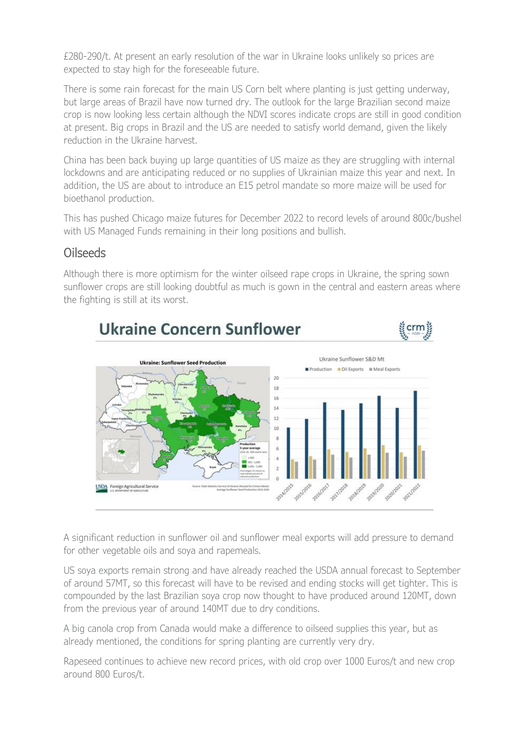£280-290/t. At present an early resolution of the war in Ukraine looks unlikely so prices are expected to stay high for the foreseeable future.

There is some rain forecast for the main US Corn belt where planting is just getting underway, but large areas of Brazil have now turned dry. The outlook for the large Brazilian second maize crop is now looking less certain although the NDVI scores indicate crops are still in good condition at present. Big crops in Brazil and the US are needed to satisfy world demand, given the likely reduction in the Ukraine harvest.

China has been back buying up large quantities of US maize as they are struggling with internal lockdowns and are anticipating reduced or no supplies of Ukrainian maize this year and next. In addition, the US are about to introduce an E15 petrol mandate so more maize will be used for bioethanol production.

This has pushed Chicago maize futures for December 2022 to record levels of around 800c/bushel with US Managed Funds remaining in their long positions and bullish.

## Oilseeds

Although there is more optimism for the winter oilseed rape crops in Ukraine, the spring sown sunflower crops are still looking doubtful as much is gown in the central and eastern areas where the fighting is still at its worst.



A significant reduction in sunflower oil and sunflower meal exports will add pressure to demand for other vegetable oils and soya and rapemeals.

US soya exports remain strong and have already reached the USDA annual forecast to September of around 57MT, so this forecast will have to be revised and ending stocks will get tighter. This is compounded by the last Brazilian soya crop now thought to have produced around 120MT, down from the previous year of around 140MT due to dry conditions.

A big canola crop from Canada would make a difference to oilseed supplies this year, but as already mentioned, the conditions for spring planting are currently very dry.

Rapeseed continues to achieve new record prices, with old crop over 1000 Euros/t and new crop around 800 Euros/t.